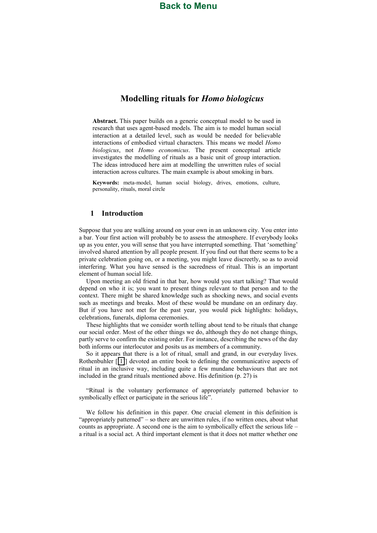# **[Back to Menu](#page-4-0)**

# **Modelling)rituals)for)***Homo\$biologicus*

Abstract. This paper builds on a generic conceptual model to be used in research that uses agent-based models. The aim is to model human social interaction at a detailed level, such as would be needed for believable interactions of embodied virtual characters. This means we model *Homo biologicus*,! not! *Homo\$ economicus*.! The! present! conceptual! article! investigates the modelling of rituals as a basic unit of group interaction. The ideas introduced here aim at modelling the unwritten rules of social interaction across cultures. The main example is about smoking in bars.

Keywords: meta-model, human social biology, drives, emotions, culture, personality, rituals, moral circle

## **1 Introduction)**

Suppose that you are walking around on your own in an unknown city. You enter into a bar. Your first action will probably be to assess the atmosphere. If everybody looks up as you enter, you will sense that you have interrupted something. That 'something' involved shared attention by all people present. If you find out that there seems to be a private celebration going on, or a meeting, you might leave discreetly, so as to avoid interfering. What you have sensed is the sacredness of ritual. This is an important element of human social life.

Upon meeting an old friend in that bar, how would you start talking? That would depend on who it is; you want to present things relevant to that person and to the context. There might be shared knowledge such as shocking news, and social events such as meetings and breaks. Most of these would be mundane on an ordinary day. But if you have not met for the past year, you would pick highlights: holidays, celebrations, funerals, diploma ceremonies.

These highlights that we consider worth telling about tend to be rituals that change our social order. Most of the other things we do, although they do not change things, partly serve to confirm the existing order. For instance, describing the news of the day both informs our interlocutor and posits us as members of a community.

So it appears that there is a lot of ritual, small and grand, in our everyday lives. Rothenbuhler  $[[1]]$  $[[1]]$  $[[1]]$  devoted an entire book to defining the communicative aspects of ritual in an inclusive way, including quite a few mundane behaviours that are not included in the grand rituals mentioned above. His definition  $(p. 27)$  is

"Ritual is the voluntary performance of appropriately patterned behavior to symbolically effect or participate in the serious life".

We follow his definition in this paper. One crucial element in this definition is "appropriately patterned"  $-$  so there are unwritten rules, if no written ones, about what counts as appropriate. A second one is the aim to symbolically effect the serious life  $$ a ritual is a social act. A third important element is that it does not matter whether one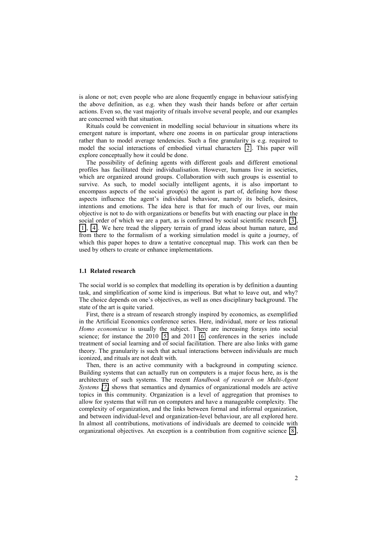is alone or not; even people who are alone frequently engage in behaviour satisfying the above definition, as e.g. when they wash their hands before or after certain actions. Even so, the vast majority of rituals involve several people, and our examples are concerned with that situation.

Rituals could be convenient in modelling social behaviour in situations where its emergent nature is important, where one zooms in on particular group interactions rather than to model average tendencies. Such a fine granularity is e.g. required to model the social interactions of embodied virtual characters [\[2\]](#page-10-1). This paper will explore conceptually how it could be done.

The possibility of defining agents with different goals and different emotional profiles has facilitated their individualisation. However, humans live in societies, which are organized around groups. Collaboration with such groups is essential to survive. As such, to model socially intelligent agents, it is also important to encompass aspects of the social group(s) the agent is part of, defining how those aspects influence the agent's individual behaviour, namely its beliefs, desires, intentions and emotions. The idea here is that for much of our lives, our main objective is not to do with organizations or benefits but with enacting our place in the social order of which we are a part, as is confirmed by social scientific research  $[3]$ , [\[1\]](#page-10-0), [\[4\]](#page-10-3). We here tread the slippery terrain of grand ideas about human nature, and from there to the formalism of a working simulation model is quite a journey, of which this paper hopes to draw a tentative conceptual map. This work can then be used by others to create or enhance implementations.

#### **1.1))Related)research**

The social world is so complex that modelling its operation is by definition a daunting task, and simplification of some kind is imperious. But what to leave out, and why? The choice depends on one's objectives, as well as ones disciplinary background. The state of the art is quite varied.

First, there is a stream of research strongly inspired by economics, as exemplified in the Artificial Economics conference series. Here, individual, more or less rational *Homo economicus* is usually the subject. There are increasing forays into social science; for instance the  $2010$  [\[5\]](#page-10-4) and  $2011$  [\[6\]](#page-10-5) conferences in the series include treatment of social learning and of social facilitation. There are also links with game theory. The granularity is such that actual interactions between individuals are much iconized, and rituals are not dealt with.

Then, there is an active community with a background in computing science. Building systems that can actually run on computers is a major focus here, as is the architecture of such systems. The recent *Handbook of research on Multi-Agent Systems* [\[7\]](#page-10-6) shows that semantics and dynamics of organizational models are active topics in this community. Organization is a level of aggregation that promises to allow for systems that will run on computers and have a manageable complexity. The complexity of organization, and the links between formal and informal organization, and between individual-level and organization-level behaviour, are all explored here. In almost all contributions, motivations of individuals are deemed to coincide with organizational objectives. An exception is a contribution from cognitive science [\[8\]](#page-10-7),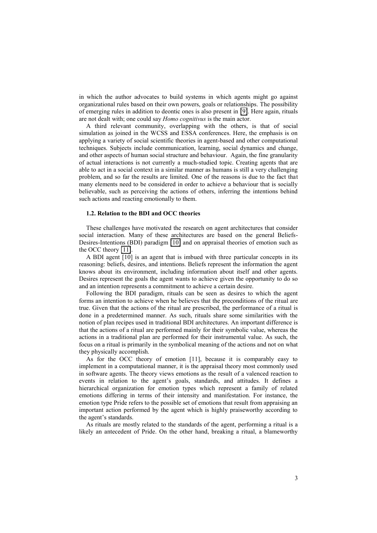in which the author advocates to build systems in which agents might go against organizational rules based on their own powers, goals or relationships. The possibility of emerging rules in addition to deontic ones is also present in  $[9]$ . Here again, rituals are not dealt with; one could say *Homo cognitivus* is the main actor.

A third relevant community, overlapping with the others, is that of social simulation as joined in the WCSS and ESSA conferences. Here, the emphasis is on applying a variety of social scientific theories in agent-based and other computational techniques. Subjects include communication, learning, social dynamics and change, and other aspects of human social structure and behaviour. Again, the fine granularity of actual interactions is not currently a much-studied topic. Creating agents that are able to act in a social context in a similar manner as humans is still a very challenging problem, and so far the results are limited. One of the reasons is due to the fact that many elements need to be considered in order to achieve a behaviour that is socially believable, such as perceiving the actions of others, inferring the intentions behind such actions and reacting emotionally to them.

## **1.2. Relation to the BDI and OCC theories**

These challenges have motivated the research on agent architectures that consider social interaction. Many of these architectures are based on the general Beliefs-Desires-Intentions (BDI) paradigm [\[10\]](#page-10-9) and on appraisal theories of emotion such as the OCC theory  $[11]$ .

A BDI agent [10] is an agent that is imbued with three particular concepts in its reasoning: beliefs, desires, and intentions. Beliefs represent the information the agent knows about its environment, including information about itself and other agents. Desires represent the goals the agent wants to achieve given the opportunity to do so and an intention represents a commitment to achieve a certain desire.

Following the BDI paradigm, rituals can be seen as desires to which the agent forms an intention to achieve when he believes that the preconditions of the ritual are true. Given that the actions of the ritual are prescribed, the performance of a ritual is done in a predetermined manner. As such, rituals share some similarities with the notion of plan recipes used in traditional BDI architectures. An important difference is that the actions of a ritual are performed mainly for their symbolic value, whereas the actions in a traditional plan are performed for their instrumental value. As such, the focus on a ritual is primarily in the symbolical meaning of the actions and not on what they physically accomplish.

As for the OCC theory of emotion [11], because it is comparably easy to implement in a computational manner, it is the appraisal theory most commonly used in software agents. The theory views emotions as the result of a valenced reaction to events in relation to the agent's goals, standards, and attitudes. It defines a hierarchical organization for emotion types which represent a family of related emotions differing in terms of their intensity and manifestation. For instance, the emotion type Pride refers to the possible set of emotions that result from appraising an important action performed by the agent which is highly praiseworthy according to the agent's standards.

As rituals are mostly related to the standards of the agent, performing a ritual is a likely an antecedent of Pride. On the other hand, breaking a ritual, a blameworthy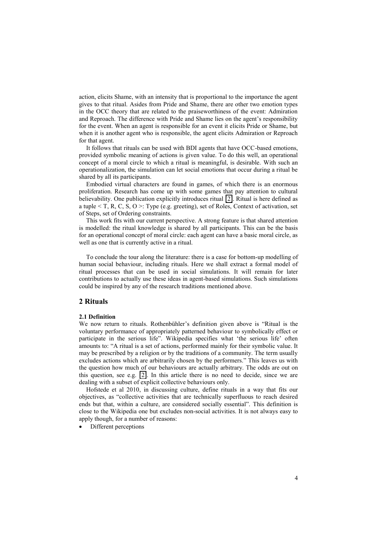action, elicits Shame, with an intensity that is proportional to the importance the agent gives to that ritual. Asides from Pride and Shame, there are other two emotion types in the OCC theory that are related to the praiseworthiness of the event: Admiration and Reproach. The difference with Pride and Shame lies on the agent's responsibility for the event. When an agent is responsible for an event it elicits Pride or Shame, but when it is another agent who is responsible, the agent elicits Admiration or Reproach for that agent.

It follows that rituals can be used with BDI agents that have OCC-based emotions, provided symbolic meaning of actions is given value. To do this well, an operational concept of a moral circle to which a ritual is meaningful, is desirable. With such an operationalization, the simulation can let social emotions that occur during a ritual be shared by all its participants.

Embodied virtual characters are found in games, of which there is an enormous proliferation. Research has come up with some games that pay attention to cultural believability. One publication explicitly introduces ritual [\[2\]](#page-10-1). Ritual is here defined as a tuple  $\leq$  T, R, C, S, O  $\geq$ : Type (e.g. greeting), set of Roles, Context of activation, set of Steps, set of Ordering constraints.

This work fits with our current perspective. A strong feature is that shared attention is modelled: the ritual knowledge is shared by all participants. This can be the basis for an operational concept of moral circle: each agent can have a basic moral circle, as well as one that is currently active in a ritual.

To conclude the tour along the literature: there is a case for bottom-up modelling of human social behaviour, including rituals. Here we shall extract a formal model of ritual processes that can be used in social simulations. It will remain for later contributions to actually use these ideas in agent-based simulations. Such simulations could be inspired by any of the research traditions mentioned above.

## **2)Rituals**

## **2.1)Definition**

We now return to rituals. Rothenbühler's definition given above is "Ritual is the voluntary performance of appropriately patterned behaviour to symbolically effect or participate in the serious life". Wikipedia specifies what 'the serious life' often amounts to: "A ritual is a set of actions, performed mainly for their symbolic value. It may be prescribed by a religion or by the traditions of a community. The term usually excludes actions which are arbitrarily chosen by the performers." This leaves us with the question how much of our behaviours are actually arbitrary. The odds are out on this question, see e.g.  $[2]$ . In this article there is no need to decide, since we are dealing with a subset of explicit collective behaviours only.

Hofstede et al 2010, in discussing culture, define rituals in a way that fits our objectives, as "collective activities that are technically superfluous to reach desired ends but that, within a culture, are considered socially essential". This definition is close to the Wikipedia one but excludes non-social activities. It is not always easy to apply though, for a number of reasons:

Different perceptions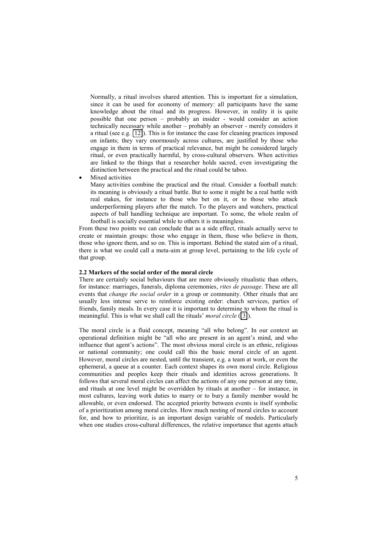<span id="page-4-0"></span>Normally, a ritual involves shared attention. This is important for a simulation, since it can be used for economy of memory: all participants have the same knowledge about the ritual and its progress. However, in reality it is quite possible that one person – probably an insider - would consider an action technically necessary while another - probably an observer - merely considers it a ritual (see e.g. [\[12\]](#page-10-11)). This is for instance the case for cleaning practices imposed on infants; they vary enormously across cultures, are justified by those who engage in them in terms of practical relevance, but might be considered largely ritual, or even practically harmful, by cross-cultural observers. When activities are linked to the things that a researcher holds sacred, even investigating the distinction between the practical and the ritual could be taboo.

Mixed activities

Many activities combine the practical and the ritual. Consider a football match: its meaning is obviously a ritual battle. But to some it might be a real battle with real stakes, for instance to those who bet on it, or to those who attack underperforming players after the match. To the players and watchers, practical aspects of ball handling technique are important. To some, the whole realm of football is socially essential while to others it is meaningless.

From these two points we can conclude that as a side effect, rituals actually serve to create or maintain groups: those who engage in them, those who believe in them, those who ignore them, and so on. This is important. Behind the stated aim of a ritual, there is what we could call a meta-aim at group level, pertaining to the life cycle of that group.

#### **2.2)Markers)of)the)social)order)of)the)moral)circle**

There are certainly social behaviours that are more obviously ritualistic than others, for instance: marriages, funerals, diploma ceremonies, *rites de passage*. These are all events that *change the social order* in a group or community. Other rituals that are usually less intense serve to reinforce existing order: church services, parties of friends, family meals. In every case it is important to determine to whom the ritual is meaningful. This is what we shall call the rituals' *moral circle* ([\[3\]](#page-10-2)).

The moral circle is a fluid concept, meaning "all who belong". In our context an operational definition might be "all who are present in an agent's mind, and who influence that agent's actions". The most obvious moral circle is an ethnic, religious or national community; one could call this the basic moral circle of an agent. However, moral circles are nested, until the transient, e.g. a team at work, or even the ephemeral, a queue at a counter. Each context shapes its own moral circle. Religious communities and peoples keep their rituals and identities across generations. It follows that several moral circles can affect the actions of any one person at any time, and rituals at one level might be overridden by rituals at another  $-$  for instance, in most cultures, leaving work duties to marry or to bury a family member would be allowable, or even endorsed. The accepted priority between events is itself symbolic of a prioritization among moral circles. How much nesting of moral circles to account for, and how to prioritize, is an important design variable of models. Particularly when one studies cross-cultural differences, the relative importance that agents attach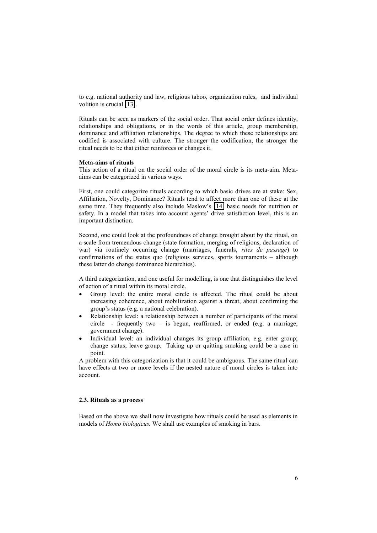to e.g. national authority and law, religious taboo, organization rules, and individual volition is crucial [\[13\]](#page-10-12).

Rituals can be seen as markers of the social order. That social order defines identity, relationships and obligations, or in the words of this article, group membership, dominance and affiliation relationships. The degree to which these relationships are codified is associated with culture. The stronger the codification, the stronger the ritual needs to be that either reinforces or changes it.

### **Meta-aims of rituals**

This action of a ritual on the social order of the moral circle is its meta-aim. Metaaims can be categorized in various ways.

First, one could categorize rituals according to which basic drives are at stake: Sex, Affiliation, Novelty, Dominance? Rituals tend to affect more than one of these at the same time. They frequently also include Maslow's  $[14]$  basic needs for nutrition or safety. In a model that takes into account agents' drive satisfaction level, this is an important distinction.

Second, one could look at the profoundness of change brought about by the ritual, on a scale from tremendous change (state formation, merging of religions, declaration of war) via routinely occurring change (marriages, funerals, *rites de passage*) to confirmations of the status quo (religious services, sports tournaments  $-$  although these latter do change dominance hierarchies).

A third categorization, and one useful for modelling, is one that distinguishes the level of action of a ritual within its moral circle.

- Group level: the entire moral circle is affected. The ritual could be about increasing coherence, about mobilization against a threat, about confirming the group's status (e.g. a national celebration).
- Relationship level: a relationship between a number of participants of the moral circle - frequently two  $-$  is begun, reaffirmed, or ended (e.g. a marriage; government change).
- Individual level: an individual changes its group affiliation, e.g. enter group; change status; leave group. Taking up or quitting smoking could be a case in point.

A problem with this categorization is that it could be ambiguous. The same ritual can have effects at two or more levels if the nested nature of moral circles is taken into account.

## **2.3.)Rituals)as)a)process**

Based on the above we shall now investigate how rituals could be used as elements in models of *Homo biologicus*. We shall use examples of smoking in bars.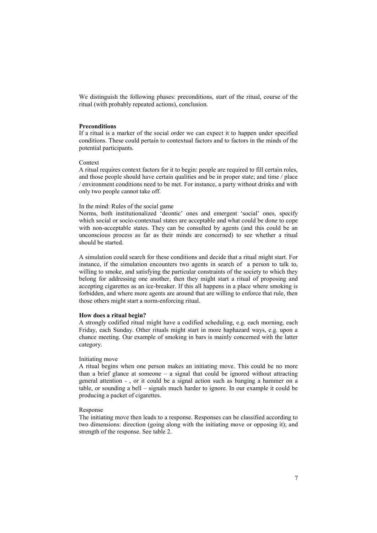We distinguish the following phases: preconditions, start of the ritual, course of the ritual (with probably repeated actions), conclusion.

### **Preconditions**

If a ritual is a marker of the social order we can expect it to happen under specified conditions. These could pertain to contextual factors and to factors in the minds of the potential participants.

#### Context

A ritual requires context factors for it to begin: people are required to fill certain roles, and those people should have certain qualities and be in proper state; and time / place / environment conditions need to be met. For instance, a party without drinks and with only two people cannot take off.

## In the mind: Rules of the social game

Norms, both institutionalized 'deontic' ones and emergent 'social' ones, specify which social or socio-contextual states are acceptable and what could be done to cope with non-acceptable states. They can be consulted by agents (and this could be an unconscious process as far as their minds are concerned) to see whether a ritual should be started.

A simulation could search for these conditions and decide that a ritual might start. For instance, if the simulation encounters two agents in search of a person to talk to, willing to smoke, and satisfying the particular constraints of the society to which they belong for addressing one another, then they might start a ritual of proposing and accepting cigarettes as an ice-breaker. If this all happens in a place where smoking is forbidden, and where more agents are around that are willing to enforce that rule, then those others might start a norm-enforcing ritual.

#### **How** does a ritual begin?

A strongly codified ritual might have a codified scheduling, e.g. each morning, each Friday, each Sunday. Other rituals might start in more haphazard ways, e.g. upon a chance meeting. Our example of smoking in bars is mainly concerned with the latter category.

#### Initiating!move

A ritual begins when one person makes an initiating move. This could be no more than a brief glance at someone  $-$  a signal that could be ignored without attracting general attention -, or it could be a signal action such as banging a hammer on a table, or sounding a bell - signals much harder to ignore. In our example it could be producing a packet of cigarettes.

#### Response

The initiating move then leads to a response. Responses can be classified according to two dimensions: direction (going along with the initiating move or opposing it); and strength of the response. See table 2.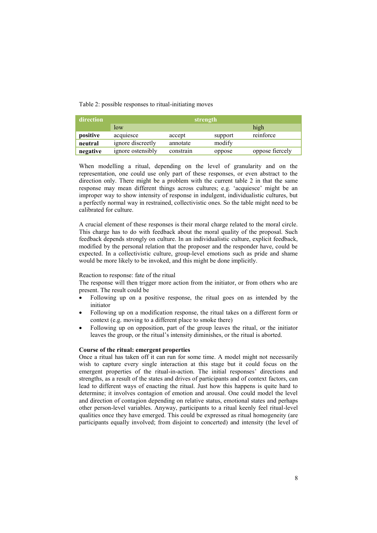Table 2: possible responses to ritual-initiating moves

| direction | strength          |           |         |                 |
|-----------|-------------------|-----------|---------|-----------------|
|           | low               |           |         | high            |
| positive  | acquiesce         | accept    | support | reinforce       |
| neutral   | ignore discreetly | annotate  | modify  |                 |
| negative  | ignore ostensibly | constrain | oppose  | oppose fiercely |

When modelling a ritual, depending on the level of granularity and on the representation, one could use only part of these responses, or even abstract to the direction only. There might be a problem with the current table 2 in that the same response may mean different things across cultures; e.g. 'acquiesce' might be an improper way to show intensity of response in indulgent, individualistic cultures, but a perfectly normal way in restrained, collectivistic ones. So the table might need to be calibrated for culture.

A crucial element of these responses is their moral charge related to the moral circle. This charge has to do with feedback about the moral quality of the proposal. Such feedback depends strongly on culture. In an individualistic culture, explicit feedback, modified by the personal relation that the proposer and the responder have, could be expected. In a collectivistic culture, group-level emotions such as pride and shame would be more likely to be invoked, and this might be done implicitly.

## Reaction to response: fate of the ritual

The response will then trigger more action from the initiator, or from others who are present. The result could be

- Following up on a positive response, the ritual goes on as intended by the initiator
- Following up on a modification response, the ritual takes on a different form or context (e.g. moving to a different place to smoke there)
- Following up on opposition, part of the group leaves the ritual, or the initiator leaves the group, or the ritual's intensity diminishes, or the ritual is aborted.

## Course of the ritual: emergent properties

Once a ritual has taken off it can run for some time. A model might not necessarily wish to capture every single interaction at this stage but it could focus on the emergent properties of the ritual-in-action. The initial responses' directions and strengths, as a result of the states and drives of participants and of context factors, can lead to different ways of enacting the ritual. Just how this happens is quite hard to determine; it involves contagion of emotion and arousal. One could model the level and direction of contagion depending on relative status, emotional states and perhaps other person-level variables. Anyway, participants to a ritual keenly feel ritual-level qualities once they have emerged. This could be expressed as ritual homogeneity (are participants equally involved; from disjoint to concerted) and intensity (the level of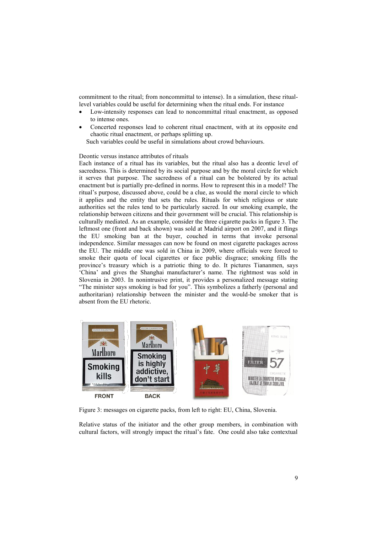commitment to the ritual; from noncommittal to intense). In a simulation, these rituallevel variables could be useful for determining when the ritual ends. For instance

- Low-intensity responses can lead to noncommittal ritual enactment, as opposed to intense ones.
- Concerted responses lead to coherent ritual enactment, with at its opposite end chaotic ritual enactment, or perhaps splitting up.

Such variables could be useful in simulations about crowd behaviours.

## Deontic versus instance attributes of rituals

Each instance of a ritual has its variables, but the ritual also has a deontic level of sacredness. This is determined by its social purpose and by the moral circle for which it serves that purpose. The sacredness of a ritual can be bolstered by its actual enactment but is partially pre-defined in norms. How to represent this in a model? The ritual's purpose, discussed above, could be a clue, as would the moral circle to which it applies and the entity that sets the rules. Rituals for which religious or state authorities set the rules tend to be particularly sacred. In our smoking example, the relationship between citizens and their government will be crucial. This relationship is culturally mediated. As an example, consider the three cigarette packs in figure 3. The leftmost one (front and back shown) was sold at Madrid airport on 2007, and it flings the EU smoking ban at the buyer, couched in terms that invoke personal independence. Similar messages can now be found on most cigarette packages across the EU. The middle one was sold in China in 2009, where officials were forced to smoke their quota of local cigarettes or face public disgrace; smoking fills the province's treasury which is a patriotic thing to do. It pictures Tiananmen, says 'China' and gives the Shanghai manufacturer's name. The rightmost was sold in Slovenia in 2003. In nonintrusive print, it provides a personalized message stating "The minister says smoking is bad for you". This symbolizes a fatherly (personal and authoritarian) relationship between the minister and the would-be smoker that is absent from the EU rhetoric.



Figure 3: messages on cigarette packs, from left to right: EU, China, Slovenia.

Relative status of the initiator and the other group members, in combination with cultural factors, will strongly impact the ritual's fate. One could also take contextual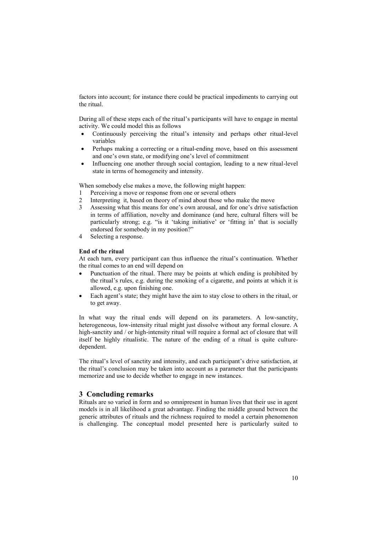factors into account; for instance there could be practical impediments to carrying out the ritual.

During all of these steps each of the ritual's participants will have to engage in mental activity. We could model this as follows

- Continuously perceiving the ritual's intensity and perhaps other ritual-level variables
- Perhaps making a correcting or a ritual-ending move, based on this assessment and one's own state, or modifying one's level of commitment
- Influencing one another through social contagion, leading to a new ritual-level state in terms of homogeneity and intensity.

When somebody else makes a move, the following might happen:

- 1 Perceiving a move or response from one or several others
- 2 Interpreting it, based on theory of mind about those who make the move
- 3 Assessing what this means for one's own arousal, and for one's drive satisfaction in terms of affiliation, novelty and dominance (and here, cultural filters will be particularly strong; e.g. "is it 'taking initiative' or 'fitting in' that is socially endorsed for somebody in my position?"
- 4 Selecting a response.

#### **End of the ritual**

At each turn, every participant can thus influence the ritual's continuation. Whether the ritual comes to an end will depend on

- Punctuation of the ritual. There may be points at which ending is prohibited by the ritual's rules, e.g. during the smoking of a cigarette, and points at which it is allowed, e.g. upon finishing one.
- Each agent's state; they might have the aim to stay close to others in the ritual, or to get away.

In what way the ritual ends will depend on its parameters. A low-sanctity, heterogeneous, low-intensity ritual might just dissolve without any formal closure. A high-sanctity and / or high-intensity ritual will require a formal act of closure that will itself be highly ritualistic. The nature of the ending of a ritual is quite culturedependent.

The ritual's level of sanctity and intensity, and each participant's drive satisfaction, at the ritual's conclusion may be taken into account as a parameter that the participants memorize and use to decide whether to engage in new instances.

## **3** Concluding remarks

Rituals are so varied in form and so omnipresent in human lives that their use in agent models is in all likelihood a great advantage. Finding the middle ground between the generic attributes of rituals and the richness required to model a certain phenomenon is challenging. The conceptual model presented here is particularly suited to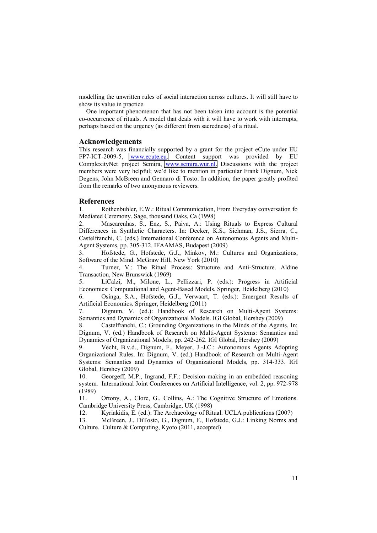modelling the unwritten rules of social interaction across cultures. It will still have to show its value in practice.

One important phenomenon that has not been taken into account is the potential co-occurrence of rituals. A model that deals with it will have to work with interrupts, perhaps based on the urgency (as different from sacredness) of a ritual.

## **Acknowledgements**

This research was financially supported by a grant for the project eCute under EU FP7-ICT-2009-5, [www.ecute.eu.](http://www.ecute.eu/) Content support was provided by EU ComplexityNet project Semira, [www.semira.wur.nl.](http://www.semira.wur.nl/) Discussions with the project members were very helpful; we'd like to mention in particular Frank Dignum, Nick Degens, John McBreen and Gennaro di Tosto. In addition, the paper greatly profited from the remarks of two anonymous reviewers.

#### **References**

<span id="page-10-0"></span>1. Rothenbuhler, E.W.: Ritual Communication, From Everyday conversation fo Mediated Ceremony. Sage, thousand Oaks, Ca (1998)

<span id="page-10-1"></span>Mascarenhas, S., Enz, S., Paiva, A.: Using Rituals to Express Cultural Differences in Synthetic Characters. In: Decker, K.S., Sichman, J.S., Sierra, C., Castelfranchi, C. (eds.) International Conference on Autonomous Agents and Multi-Agent Systems, pp. 305-312. IFAAMAS, Budapest (2009)

<span id="page-10-2"></span>3. Hofstede, G., Hofstede, G.J., Minkov, M.: Cultures and Organizations, Software of the Mind. McGraw Hill, New York (2010)

<span id="page-10-3"></span>4. Turner, V.: The Ritual Process: Structure and Anti-Structure. Aldine Transaction, New Brunswick (1969)

<span id="page-10-4"></span>5. LiCalzi, M., Milone, L., Pellizzari, P. (eds.): Progress in Artificial Economics: Computational and Agent-Based Models. Springer, Heidelberg (2010)

<span id="page-10-5"></span>6. Osinga, S.A., Hofstede, G.J., Verwaart, T. (eds.): Emergent Results of Artificial Economics. Springer, Heidelberg (2011)

<span id="page-10-6"></span>7. Dignum, V. (ed.): Handbook of Research on Multi-Agent Systems: Semantics and Dynamics of Organizational Models. IGI Global, Hershey (2009)

<span id="page-10-7"></span>8. Castelfranchi, C.: Grounding Organizations in the Minds of the Agents. In: Dignum, V. (ed.) Handbook of Research on Multi-Agent Systems: Semantics and Dynamics of Organizational Models, pp. 242-262. IGI Global, Hershey (2009)

<span id="page-10-8"></span>9. Vecht, B.v.d., Dignum, F., Meyer, J.-J.C.: Autonomous Agents Adopting Organizational Rules. In: Dignum, V. (ed.) Handbook of Research on Multi-Agent Systems: Semantics and Dynamics of Organizational Models, pp. 314-333. IGI Global, Hershey (2009)

<span id="page-10-9"></span>10. Georgeff, M.P., Ingrand, F.F.: Decision-making in an embedded reasoning system. International Joint Conferences on Artificial Intelligence, vol. 2, pp. 972-978 (1989)

<span id="page-10-10"></span>11. Ortony, A., Clore, G., Collins, A.: The Cognitive Structure of Emotions. Cambridge University Press, Cambridge, UK (1998)

<span id="page-10-11"></span>12. Kyriakidis, E. (ed.): The Archaeology of Ritual. UCLA publications (2007)

<span id="page-10-12"></span>13. McBreen, J., DiTosto, G., Dignum, F., Hofstede, G.J.: Linking Norms and Culture. Culture & Computing, Kyoto (2011, accepted)